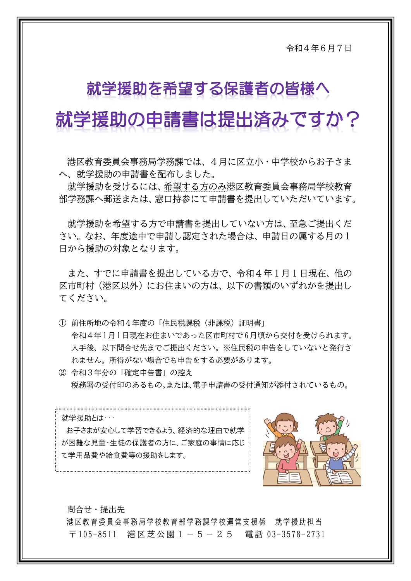令和4年6月7日

## 就学援助を希望する保護者の皆様へ

# 就学援助の申請書は提出済みですか?

港区教育委員会事務局学務課では、4月に区立小・中学校からお子さま へ、就学援助の申請書を配布しました。

就学援助を受けるには、希望する方のみ港区教育委員会事務局学校教育 部学務課へ郵送または、窓口持参にて申請書を提出していただいています。

就学援助を希望する方で申請書を提出していない方は、至急ご提出くだ さい。なお、年度途中で申請し認定された場合は、申請日の属する月の1 日から援助の対象となります。

また、すでに申請書を提出している方で、令和4年1月1日現在、他の 区市町村(港区以外)にお住まいの方は、以下の書類のいずれかを提出し てください。

- (1) 前住所地の令和4年度の「住民税課税(非課税)証明書」 令和4年 1月1 日現在お住まいであった区市町村で 6月頃から交付を受けられます。 入手後、以下問合せ先までご提出ください。※住民税の申告をしていないと発行さ れません。所得がない場合でも申告をする必要があります。
- ② 令和3年分の「確定申告書」の控え 税務署の受付印のあるもの。または、電子申請書の受付通知が添付されているもの。

就学援助とは・・・ お子さまが安心して学習できるよう、経済的な理由で就学 が困難な児童・生徒の保護者の方に、ご家庭の事情に応じ て学用品費や給食費等の援助をします。



問合せ・提出先 港区教育委員会事務局学校教育部学務課学校運営支援係 就学援助担当 〒 105-8511 港区芝公園 1 - 5 - 2 5 電話 03-3578-2731